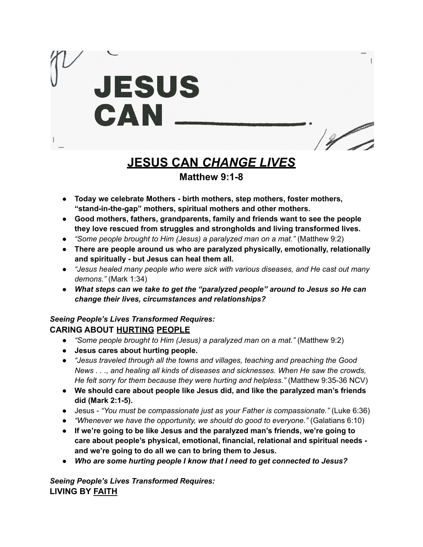

# **JESUS CAN** *CHANGE LIVES*

## **Matthew 9:1-8**

- *●* **Today we celebrate Mothers - birth mothers, step mothers, foster mothers, "stand-in-the-gap" mothers, spiritual mothers and other mothers.**
- *●* **Good mothers, fathers, grandparents, family and friends want to see the people they love rescued from struggles and strongholds and living transformed lives.**
- *● "Some people brought to Him (Jesus) a paralyzed man on a mat."* (Matthew 9:2)
- *●* **There are people around us who are paralyzed physically, emotionally, relationally and spiritually - but Jesus can heal them all.**
- **●** *"Jesus healed many people who were sick with various diseases, and He cast out many demons."* (Mark 1:34)
- *● What steps can we take to get the "paralyzed people" around to Jesus so He can change their lives, circumstances and relationships?*

## *Seeing People's Lives Transformed Requires:* **CARING ABOUT HURTING PEOPLE**

- *● "Some people brought to Him (Jesus) a paralyzed man on a mat."* (Matthew 9:2)
- **● Jesus cares about hurting people.**
- **●** *"Jesus traveled through all the towns and villages, teaching and preaching the Good News . . ., and healing all kinds of diseases and sicknesses. When He saw the crowds, He felt sorry for them because they were hurting and helpless."* (Matthew 9:35-36 NCV)
- **● We should care about people like Jesus did, and like the paralyzed man's friends did (Mark 2:1-5).**
- Jesus *"You must be compassionate just as your Father is compassionate."* (Luke 6:36)
- *● "Whenever we have the opportunity, we should do good to everyone."* (Galatians 6:10)
- **● If we're going to be like Jesus and the paralyzed man's friends, we're going to care about people's physical, emotional, financial, relational and spiritual needs and we're going to do all we can to bring them to Jesus.**
- *● Who are some hurting people I know that I need to get connected to Jesus?*

*Seeing People's Lives Transformed Requires:* **LIVING BY FAITH**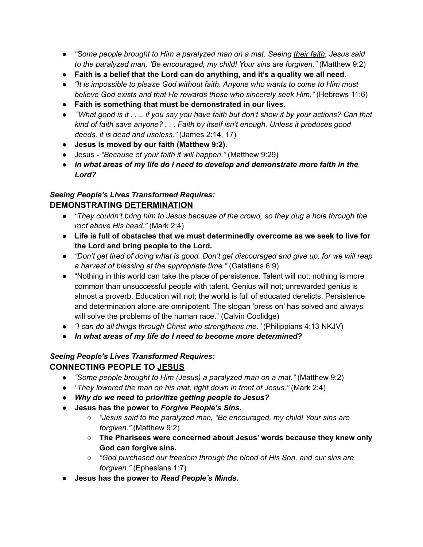- *"Some people brought to Him a paralyzed man on a mat. Seeing their faith, Jesus said to the paralyzed man, 'Be encouraged, my child! Your sins are forgiven."* (Matthew 9:2)
- **Faith is a belief that the Lord can do anything, and it's a quality we all need.**
- *"It is impossible to please God without faith. Anyone who wants to come to Him must believe God exists and that He rewards those who sincerely seek Him."* (Hebrews 11:6)
- **Faith is something that must be demonstrated in our lives.**
- "What good is it  $\dots$ , if you say you have faith but don't show it by your actions? Can that *kind of faith save anyone? . . . Faith by itself isn't enough. Unless it produces good deeds, it is dead and useless."* (James 2:14, 17)
- **Jesus is moved by our faith (Matthew 9:2).**
- Jesus *"Because of your faith it will happen."* (Matthew 9:29)
- *● In what areas of my life do I need to develop and demonstrate more faith in the Lord?*

#### *Seeing People's Lives Transformed Requires:* **DEMONSTRATING DETERMINATION**

- *● "They couldn't bring him to Jesus because of the crowd, so they dug a hole through the roof above His head."* (Mark 2:4)
- **Life is full of obstacles that we must determinedly overcome as we seek to live for the Lord and bring people to the Lord.**
- "Don't get tired of doing what is good. Don't get discouraged and give up, for we will reap *a harvest of blessing at the appropriate time."* (Galatians 6:9)
- "Nothing in this world can take the place of persistence. Talent will not; nothing is more common than unsuccessful people with talent. Genius will not; unrewarded genius is almost a proverb. Education will not; the world is full of educated derelicts. Persistence and determination alone are omnipotent. The slogan 'press on' has solved and always will solve the problems of the human race." (Calvin Coolidge)
- *"I can do all things through Christ who strengthens me."* (Philippians 4:13 NKJV)
- *● In what areas of my life do I need to become more determined?*

#### *Seeing People's Lives Transformed Requires:* **CONNECTING PEOPLE TO JESUS**

- *● "Some people brought to Him (Jesus) a paralyzed man on a mat."* (Matthew 9:2)
- **●** *"They lowered the man on his mat, right down in front of Jesus."* (Mark 2:4)
- *● Why do we need to prioritize getting people to Jesus?*
- **● Jesus has the power to** *Forgive People's Sins***.**
	- **○** *"Jesus said to the paralyzed man, "Be encouraged, my child! Your sins are forgiven."* (Matthew 9:2)
	- **○ The Pharisees were concerned about Jesus' words because they knew only God can forgive sins.**
	- **○** *"God purchased our freedom through the blood of His Son, and our sins are forgiven."* (Ephesians 1:7)
- **● Jesus has the power to** *Read People's Minds***.**